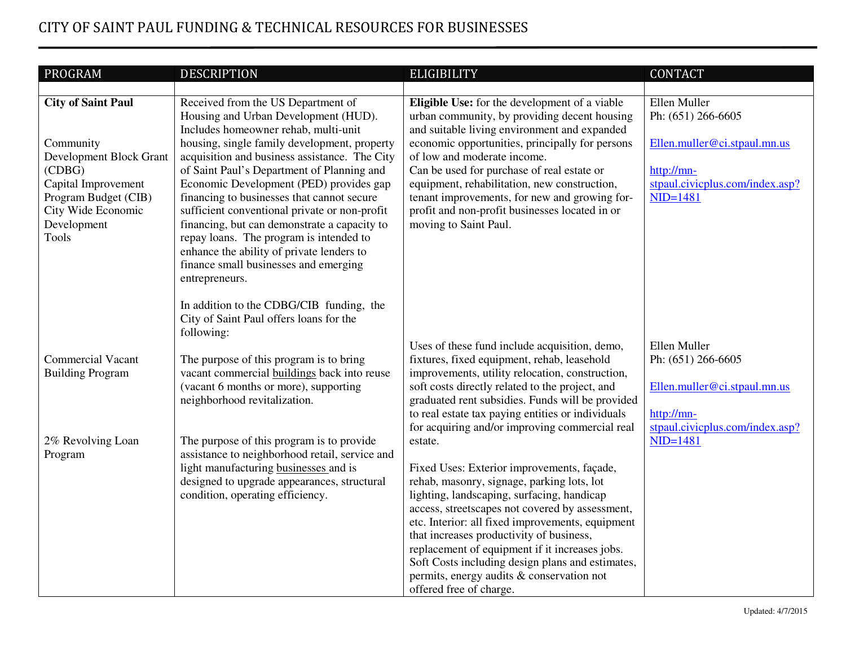## CITY OF SAINT PAUL FUNDING & TECHNICAL RESOURCES FOR BUSINESSES

| PROGRAM                                | <b>DESCRIPTION</b>                                                                                                                                                 | <b>ELIGIBILITY</b>                                                                                                                                                                               | <b>CONTACT</b>                                                     |
|----------------------------------------|--------------------------------------------------------------------------------------------------------------------------------------------------------------------|--------------------------------------------------------------------------------------------------------------------------------------------------------------------------------------------------|--------------------------------------------------------------------|
|                                        |                                                                                                                                                                    |                                                                                                                                                                                                  |                                                                    |
| <b>City of Saint Paul</b><br>Community | Received from the US Department of<br>Housing and Urban Development (HUD).<br>Includes homeowner rehab, multi-unit<br>housing, single family development, property | Eligible Use: for the development of a viable<br>urban community, by providing decent housing<br>and suitable living environment and expanded<br>economic opportunities, principally for persons | Ellen Muller<br>Ph: (651) 266-6605<br>Ellen.muller@ci.stpaul.mn.us |
| Development Block Grant                | acquisition and business assistance. The City                                                                                                                      | of low and moderate income.                                                                                                                                                                      |                                                                    |
| (CDBG)                                 | of Saint Paul's Department of Planning and                                                                                                                         | Can be used for purchase of real estate or                                                                                                                                                       | http://mn-                                                         |
| Capital Improvement                    | Economic Development (PED) provides gap                                                                                                                            | equipment, rehabilitation, new construction,                                                                                                                                                     | stpaul.civicplus.com/index.asp?                                    |
| Program Budget (CIB)                   | financing to businesses that cannot secure                                                                                                                         | tenant improvements, for new and growing for-                                                                                                                                                    | $NID=1481$                                                         |
| City Wide Economic                     | sufficient conventional private or non-profit                                                                                                                      | profit and non-profit businesses located in or                                                                                                                                                   |                                                                    |
| Development                            | financing, but can demonstrate a capacity to                                                                                                                       | moving to Saint Paul.                                                                                                                                                                            |                                                                    |
| <b>Tools</b>                           | repay loans. The program is intended to<br>enhance the ability of private lenders to                                                                               |                                                                                                                                                                                                  |                                                                    |
|                                        | finance small businesses and emerging                                                                                                                              |                                                                                                                                                                                                  |                                                                    |
|                                        | entrepreneurs.                                                                                                                                                     |                                                                                                                                                                                                  |                                                                    |
|                                        |                                                                                                                                                                    |                                                                                                                                                                                                  |                                                                    |
|                                        | In addition to the CDBG/CIB funding, the                                                                                                                           |                                                                                                                                                                                                  |                                                                    |
|                                        | City of Saint Paul offers loans for the                                                                                                                            |                                                                                                                                                                                                  |                                                                    |
|                                        | following:                                                                                                                                                         |                                                                                                                                                                                                  | Ellen Muller                                                       |
| <b>Commercial Vacant</b>               | The purpose of this program is to bring                                                                                                                            | Uses of these fund include acquisition, demo,<br>fixtures, fixed equipment, rehab, leasehold                                                                                                     | Ph: (651) 266-6605                                                 |
| <b>Building Program</b>                | vacant commercial buildings back into reuse                                                                                                                        | improvements, utility relocation, construction,                                                                                                                                                  |                                                                    |
|                                        | (vacant 6 months or more), supporting                                                                                                                              | soft costs directly related to the project, and                                                                                                                                                  | Ellen.muller@ci.stpaul.mn.us                                       |
|                                        | neighborhood revitalization.                                                                                                                                       | graduated rent subsidies. Funds will be provided                                                                                                                                                 |                                                                    |
|                                        |                                                                                                                                                                    | to real estate tax paying entities or individuals                                                                                                                                                | http://mn-                                                         |
|                                        |                                                                                                                                                                    | for acquiring and/or improving commercial real                                                                                                                                                   | stpaul.civicplus.com/index.asp?                                    |
| 2% Revolving Loan                      | The purpose of this program is to provide                                                                                                                          | estate.                                                                                                                                                                                          | $NID=1481$                                                         |
| Program                                | assistance to neighborhood retail, service and<br>light manufacturing businesses and is                                                                            | Fixed Uses: Exterior improvements, façade,                                                                                                                                                       |                                                                    |
|                                        | designed to upgrade appearances, structural                                                                                                                        | rehab, masonry, signage, parking lots, lot                                                                                                                                                       |                                                                    |
|                                        | condition, operating efficiency.                                                                                                                                   | lighting, landscaping, surfacing, handicap                                                                                                                                                       |                                                                    |
|                                        |                                                                                                                                                                    | access, streetscapes not covered by assessment,                                                                                                                                                  |                                                                    |
|                                        |                                                                                                                                                                    | etc. Interior: all fixed improvements, equipment                                                                                                                                                 |                                                                    |
|                                        |                                                                                                                                                                    | that increases productivity of business,                                                                                                                                                         |                                                                    |
|                                        |                                                                                                                                                                    | replacement of equipment if it increases jobs.                                                                                                                                                   |                                                                    |
|                                        |                                                                                                                                                                    | Soft Costs including design plans and estimates,<br>permits, energy audits & conservation not                                                                                                    |                                                                    |
|                                        |                                                                                                                                                                    | offered free of charge.                                                                                                                                                                          |                                                                    |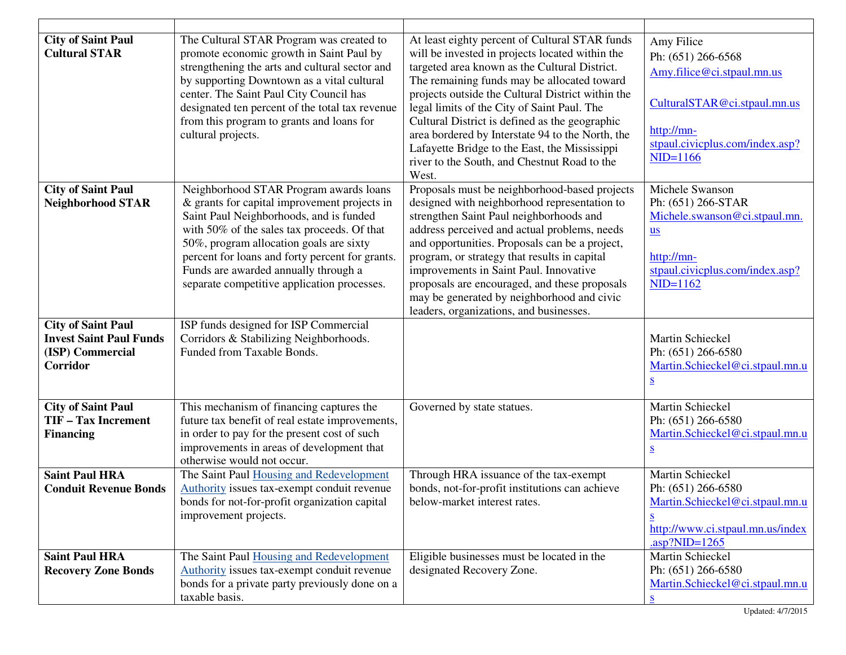| <b>City of Saint Paul</b><br><b>Cultural STAR</b>                                           | The Cultural STAR Program was created to<br>promote economic growth in Saint Paul by<br>strengthening the arts and cultural sector and<br>by supporting Downtown as a vital cultural<br>center. The Saint Paul City Council has<br>designated ten percent of the total tax revenue<br>from this program to grants and loans for<br>cultural projects.                 | At least eighty percent of Cultural STAR funds<br>will be invested in projects located within the<br>targeted area known as the Cultural District.<br>The remaining funds may be allocated toward<br>projects outside the Cultural District within the<br>legal limits of the City of Saint Paul. The<br>Cultural District is defined as the geographic<br>area bordered by Interstate 94 to the North, the<br>Lafayette Bridge to the East, the Mississippi<br>river to the South, and Chestnut Road to the<br>West. | Amy Filice<br>Ph: (651) 266-6568<br>Amy.filice@ci.stpaul.mn.us<br>CulturalSTAR@ci.stpaul.mn.us<br>http://mn-<br>stpaul.civicplus.com/index.asp?<br>$NID=1166$                                   |
|---------------------------------------------------------------------------------------------|-----------------------------------------------------------------------------------------------------------------------------------------------------------------------------------------------------------------------------------------------------------------------------------------------------------------------------------------------------------------------|-----------------------------------------------------------------------------------------------------------------------------------------------------------------------------------------------------------------------------------------------------------------------------------------------------------------------------------------------------------------------------------------------------------------------------------------------------------------------------------------------------------------------|-------------------------------------------------------------------------------------------------------------------------------------------------------------------------------------------------|
| <b>City of Saint Paul</b><br><b>Neighborhood STAR</b>                                       | Neighborhood STAR Program awards loans<br>& grants for capital improvement projects in<br>Saint Paul Neighborhoods, and is funded<br>with 50% of the sales tax proceeds. Of that<br>50%, program allocation goals are sixty<br>percent for loans and forty percent for grants.<br>Funds are awarded annually through a<br>separate competitive application processes. | Proposals must be neighborhood-based projects<br>designed with neighborhood representation to<br>strengthen Saint Paul neighborhoods and<br>address perceived and actual problems, needs<br>and opportunities. Proposals can be a project,<br>program, or strategy that results in capital<br>improvements in Saint Paul. Innovative<br>proposals are encouraged, and these proposals<br>may be generated by neighborhood and civic<br>leaders, organizations, and businesses.                                        | Michele Swanson<br>Ph: (651) 266-STAR<br>Michele.swanson@ci.stpaul.mn.<br>$us$<br>http://mn-<br>stpaul.civicplus.com/index.asp?<br>$NID=1162$                                                   |
| <b>City of Saint Paul</b><br><b>Invest Saint Paul Funds</b><br>(ISP) Commercial<br>Corridor | ISP funds designed for ISP Commercial<br>Corridors & Stabilizing Neighborhoods.<br>Funded from Taxable Bonds.                                                                                                                                                                                                                                                         |                                                                                                                                                                                                                                                                                                                                                                                                                                                                                                                       | Martin Schieckel<br>Ph: (651) 266-6580<br>Martin.Schieckel@ci.stpaul.mn.u<br>$S_{\cdot}$                                                                                                        |
| <b>City of Saint Paul</b><br><b>TIF-Tax Increment</b><br><b>Financing</b>                   | This mechanism of financing captures the<br>future tax benefit of real estate improvements,<br>in order to pay for the present cost of such<br>improvements in areas of development that<br>otherwise would not occur.                                                                                                                                                | Governed by state statues.                                                                                                                                                                                                                                                                                                                                                                                                                                                                                            | Martin Schieckel<br>Ph: (651) 266-6580<br>Martin.Schieckel@ci.stpaul.mn.u<br>$\underline{\mathbf{S}}$                                                                                           |
| <b>Saint Paul HRA</b><br><b>Conduit Revenue Bonds</b>                                       | The Saint Paul Housing and Redevelopment<br><b>Authority</b> issues tax-exempt conduit revenue<br>bonds for not-for-profit organization capital<br>improvement projects.                                                                                                                                                                                              | Through HRA issuance of the tax-exempt<br>bonds, not-for-profit institutions can achieve<br>below-market interest rates.                                                                                                                                                                                                                                                                                                                                                                                              | Martin Schieckel<br>Ph: (651) 266-6580<br>Martin.Schieckel@ci.stpaul.mn.u<br>$\underline{\underline{\mathbf{S}}}$<br>http://www.ci.stpaul.mn.us/index<br>$\frac{\text{asp}}{\text{NID} = 1265}$ |
| <b>Saint Paul HRA</b><br><b>Recovery Zone Bonds</b>                                         | The Saint Paul Housing and Redevelopment<br>Authority issues tax-exempt conduit revenue<br>bonds for a private party previously done on a<br>taxable basis.                                                                                                                                                                                                           | Eligible businesses must be located in the<br>designated Recovery Zone.                                                                                                                                                                                                                                                                                                                                                                                                                                               | Martin Schieckel<br>Ph: (651) 266-6580<br>Martin.Schieckel@ci.stpaul.mn.u                                                                                                                       |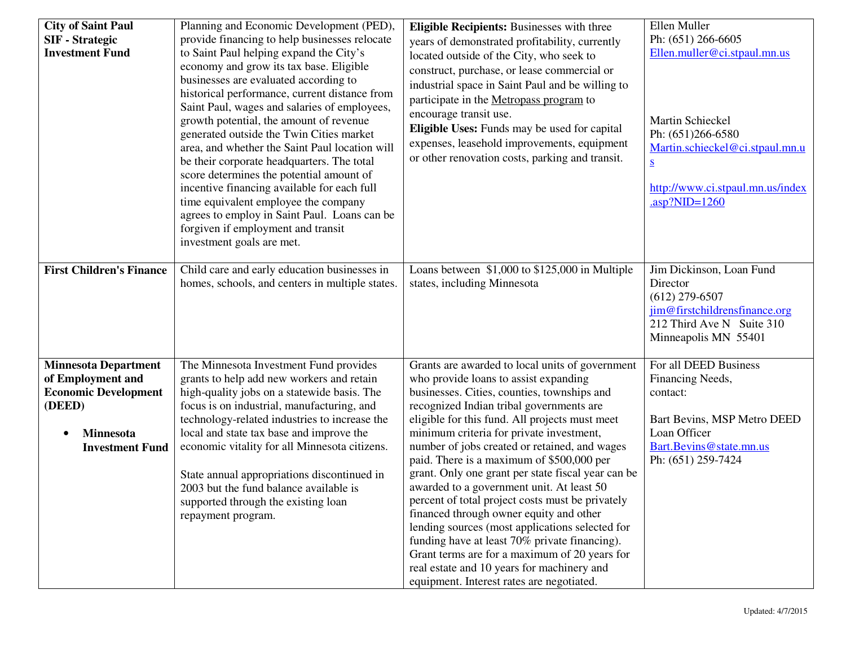| <b>City of Saint Paul</b><br><b>SIF</b> - Strategic<br><b>Investment Fund</b>                                                           | Planning and Economic Development (PED),<br>provide financing to help businesses relocate<br>to Saint Paul helping expand the City's<br>economy and grow its tax base. Eligible<br>businesses are evaluated according to<br>historical performance, current distance from<br>Saint Paul, wages and salaries of employees,<br>growth potential, the amount of revenue<br>generated outside the Twin Cities market<br>area, and whether the Saint Paul location will<br>be their corporate headquarters. The total<br>score determines the potential amount of<br>incentive financing available for each full<br>time equivalent employee the company<br>agrees to employ in Saint Paul. Loans can be<br>forgiven if employment and transit<br>investment goals are met. | <b>Eligible Recipients: Businesses with three</b><br>years of demonstrated profitability, currently<br>located outside of the City, who seek to<br>construct, purchase, or lease commercial or<br>industrial space in Saint Paul and be willing to<br>participate in the Metropass program to<br>encourage transit use.<br>Eligible Uses: Funds may be used for capital<br>expenses, leasehold improvements, equipment<br>or other renovation costs, parking and transit.                                                                                                                                                                                                                                                                                                                                                         | Ellen Muller<br>Ph: (651) 266-6605<br>Ellen.muller@ci.stpaul.mn.us<br>Martin Schieckel<br>Ph: (651)266-6580<br>Martin.schieckel@ci.stpaul.mn.u<br>$\overline{\mathbf{S}}$<br>http://www.ci.stpaul.mn.us/index<br>$.asp?NID=1260$ |
|-----------------------------------------------------------------------------------------------------------------------------------------|------------------------------------------------------------------------------------------------------------------------------------------------------------------------------------------------------------------------------------------------------------------------------------------------------------------------------------------------------------------------------------------------------------------------------------------------------------------------------------------------------------------------------------------------------------------------------------------------------------------------------------------------------------------------------------------------------------------------------------------------------------------------|-----------------------------------------------------------------------------------------------------------------------------------------------------------------------------------------------------------------------------------------------------------------------------------------------------------------------------------------------------------------------------------------------------------------------------------------------------------------------------------------------------------------------------------------------------------------------------------------------------------------------------------------------------------------------------------------------------------------------------------------------------------------------------------------------------------------------------------|----------------------------------------------------------------------------------------------------------------------------------------------------------------------------------------------------------------------------------|
| <b>First Children's Finance</b>                                                                                                         | Child care and early education businesses in<br>homes, schools, and centers in multiple states.                                                                                                                                                                                                                                                                                                                                                                                                                                                                                                                                                                                                                                                                        | Loans between \$1,000 to \$125,000 in Multiple<br>states, including Minnesota                                                                                                                                                                                                                                                                                                                                                                                                                                                                                                                                                                                                                                                                                                                                                     | Jim Dickinson, Loan Fund<br>Director<br>$(612)$ 279-6507<br>jim@firstchildrensfinance.org<br>212 Third Ave N Suite 310<br>Minneapolis MN 55401                                                                                   |
| <b>Minnesota Department</b><br>of Employment and<br><b>Economic Development</b><br>(DEED)<br><b>Minnesota</b><br><b>Investment Fund</b> | The Minnesota Investment Fund provides<br>grants to help add new workers and retain<br>high-quality jobs on a statewide basis. The<br>focus is on industrial, manufacturing, and<br>technology-related industries to increase the<br>local and state tax base and improve the<br>economic vitality for all Minnesota citizens.<br>State annual appropriations discontinued in<br>2003 but the fund balance available is<br>supported through the existing loan<br>repayment program.                                                                                                                                                                                                                                                                                   | Grants are awarded to local units of government<br>who provide loans to assist expanding<br>businesses. Cities, counties, townships and<br>recognized Indian tribal governments are<br>eligible for this fund. All projects must meet<br>minimum criteria for private investment,<br>number of jobs created or retained, and wages<br>paid. There is a maximum of \$500,000 per<br>grant. Only one grant per state fiscal year can be<br>awarded to a government unit. At least 50<br>percent of total project costs must be privately<br>financed through owner equity and other<br>lending sources (most applications selected for<br>funding have at least 70% private financing).<br>Grant terms are for a maximum of 20 years for<br>real estate and 10 years for machinery and<br>equipment. Interest rates are negotiated. | For all DEED Business<br>Financing Needs,<br>contact:<br>Bart Bevins, MSP Metro DEED<br>Loan Officer<br>Bart.Bevins@state.mn.us<br>Ph: (651) 259-7424                                                                            |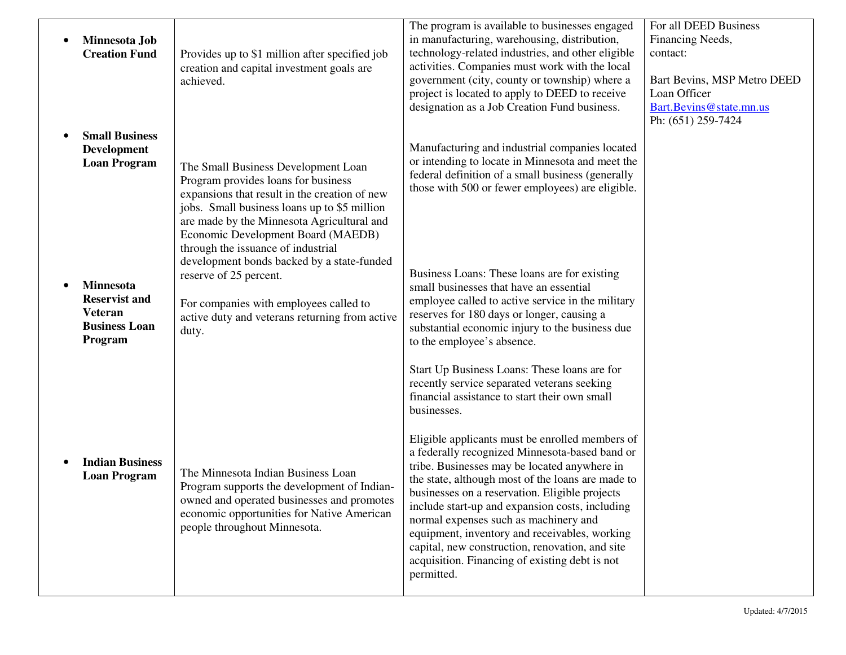| Minnesota Job<br><b>Creation Fund</b>                                                         | Provides up to \$1 million after specified job<br>creation and capital investment goals are<br>achieved.                                                                                                                                                                                              | The program is available to businesses engaged<br>in manufacturing, warehousing, distribution,<br>technology-related industries, and other eligible<br>activities. Companies must work with the local<br>government (city, county or township) where a<br>project is located to apply to DEED to receive<br>designation as a Job Creation Fund business.                                                                                                                                                                 | For all DEED Business<br>Financing Needs,<br>contact:<br>Bart Bevins, MSP Metro DEED<br>Loan Officer<br>Bart.Bevins@state.mn.us<br>Ph: (651) 259-7424 |
|-----------------------------------------------------------------------------------------------|-------------------------------------------------------------------------------------------------------------------------------------------------------------------------------------------------------------------------------------------------------------------------------------------------------|--------------------------------------------------------------------------------------------------------------------------------------------------------------------------------------------------------------------------------------------------------------------------------------------------------------------------------------------------------------------------------------------------------------------------------------------------------------------------------------------------------------------------|-------------------------------------------------------------------------------------------------------------------------------------------------------|
| <b>Small Business</b><br><b>Development</b><br><b>Loan Program</b>                            | The Small Business Development Loan<br>Program provides loans for business<br>expansions that result in the creation of new<br>jobs. Small business loans up to \$5 million<br>are made by the Minnesota Agricultural and<br>Economic Development Board (MAEDB)<br>through the issuance of industrial | Manufacturing and industrial companies located<br>or intending to locate in Minnesota and meet the<br>federal definition of a small business (generally<br>those with 500 or fewer employees) are eligible.                                                                                                                                                                                                                                                                                                              |                                                                                                                                                       |
| <b>Minnesota</b><br><b>Reservist and</b><br><b>Veteran</b><br><b>Business Loan</b><br>Program | development bonds backed by a state-funded<br>reserve of 25 percent.<br>For companies with employees called to<br>active duty and veterans returning from active<br>duty.                                                                                                                             | Business Loans: These loans are for existing<br>small businesses that have an essential<br>employee called to active service in the military<br>reserves for 180 days or longer, causing a<br>substantial economic injury to the business due<br>to the employee's absence.                                                                                                                                                                                                                                              |                                                                                                                                                       |
|                                                                                               |                                                                                                                                                                                                                                                                                                       | Start Up Business Loans: These loans are for<br>recently service separated veterans seeking<br>financial assistance to start their own small<br>businesses.                                                                                                                                                                                                                                                                                                                                                              |                                                                                                                                                       |
| <b>Indian Business</b><br><b>Loan Program</b>                                                 | The Minnesota Indian Business Loan<br>Program supports the development of Indian-<br>owned and operated businesses and promotes<br>economic opportunities for Native American<br>people throughout Minnesota.                                                                                         | Eligible applicants must be enrolled members of<br>a federally recognized Minnesota-based band or<br>tribe. Businesses may be located anywhere in<br>the state, although most of the loans are made to<br>businesses on a reservation. Eligible projects<br>include start-up and expansion costs, including<br>normal expenses such as machinery and<br>equipment, inventory and receivables, working<br>capital, new construction, renovation, and site<br>acquisition. Financing of existing debt is not<br>permitted. |                                                                                                                                                       |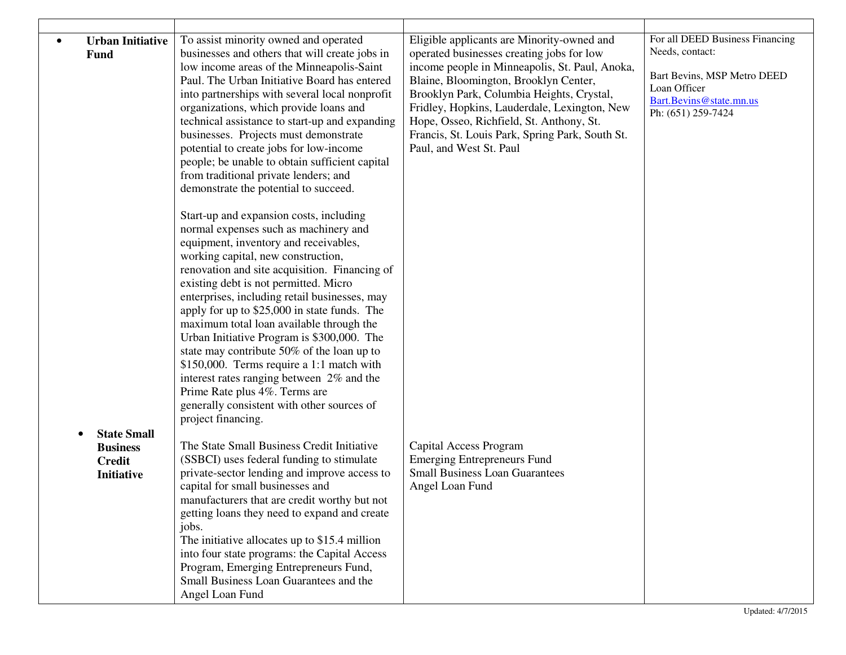| <b>Urban Initiative</b><br>Fund                                             | To assist minority owned and operated<br>businesses and others that will create jobs in<br>low income areas of the Minneapolis-Saint<br>Paul. The Urban Initiative Board has entered<br>into partnerships with several local nonprofit<br>organizations, which provide loans and<br>technical assistance to start-up and expanding<br>businesses. Projects must demonstrate<br>potential to create jobs for low-income<br>people; be unable to obtain sufficient capital<br>from traditional private lenders; and<br>demonstrate the potential to succeed.                                                                                                                                        | Eligible applicants are Minority-owned and<br>operated businesses creating jobs for low<br>income people in Minneapolis, St. Paul, Anoka,<br>Blaine, Bloomington, Brooklyn Center,<br>Brooklyn Park, Columbia Heights, Crystal,<br>Fridley, Hopkins, Lauderdale, Lexington, New<br>Hope, Osseo, Richfield, St. Anthony, St.<br>Francis, St. Louis Park, Spring Park, South St.<br>Paul, and West St. Paul | For all DEED Business Financing<br>Needs, contact:<br>Bart Bevins, MSP Metro DEED<br>Loan Officer<br>Bart.Bevins@state.mn.us<br>Ph: (651) 259-7424 |
|-----------------------------------------------------------------------------|---------------------------------------------------------------------------------------------------------------------------------------------------------------------------------------------------------------------------------------------------------------------------------------------------------------------------------------------------------------------------------------------------------------------------------------------------------------------------------------------------------------------------------------------------------------------------------------------------------------------------------------------------------------------------------------------------|-----------------------------------------------------------------------------------------------------------------------------------------------------------------------------------------------------------------------------------------------------------------------------------------------------------------------------------------------------------------------------------------------------------|----------------------------------------------------------------------------------------------------------------------------------------------------|
|                                                                             | Start-up and expansion costs, including<br>normal expenses such as machinery and<br>equipment, inventory and receivables,<br>working capital, new construction,<br>renovation and site acquisition. Financing of<br>existing debt is not permitted. Micro<br>enterprises, including retail businesses, may<br>apply for up to \$25,000 in state funds. The<br>maximum total loan available through the<br>Urban Initiative Program is \$300,000. The<br>state may contribute 50% of the loan up to<br>\$150,000. Terms require a 1:1 match with<br>interest rates ranging between 2% and the<br>Prime Rate plus 4%. Terms are<br>generally consistent with other sources of<br>project financing. |                                                                                                                                                                                                                                                                                                                                                                                                           |                                                                                                                                                    |
| <b>State Small</b><br><b>Business</b><br><b>Credit</b><br><b>Initiative</b> | The State Small Business Credit Initiative<br>(SSBCI) uses federal funding to stimulate<br>private-sector lending and improve access to<br>capital for small businesses and<br>manufacturers that are credit worthy but not<br>getting loans they need to expand and create<br>jobs.<br>The initiative allocates up to \$15.4 million<br>into four state programs: the Capital Access<br>Program, Emerging Entrepreneurs Fund,<br>Small Business Loan Guarantees and the<br>Angel Loan Fund                                                                                                                                                                                                       | Capital Access Program<br><b>Emerging Entrepreneurs Fund</b><br><b>Small Business Loan Guarantees</b><br>Angel Loan Fund                                                                                                                                                                                                                                                                                  |                                                                                                                                                    |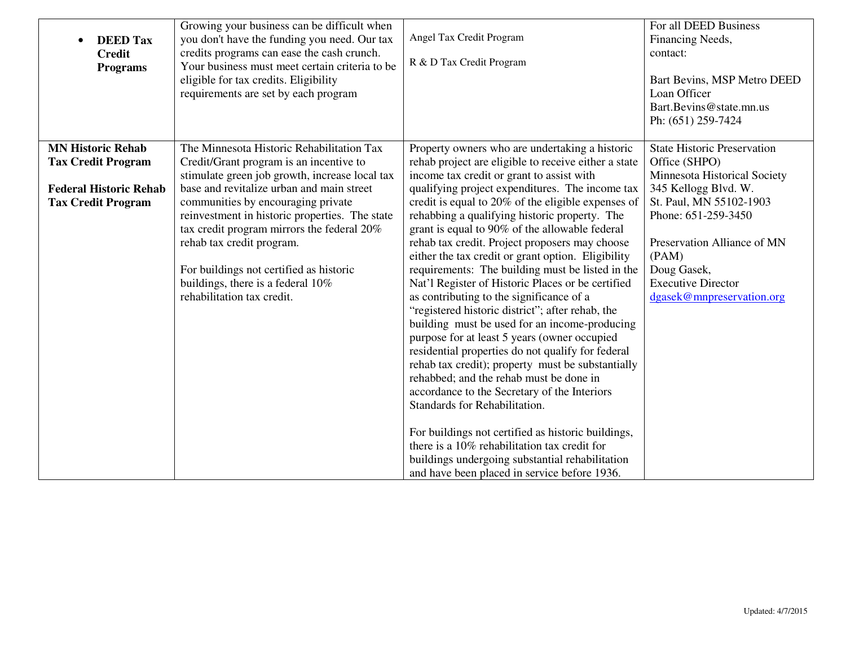| <b>DEED Tax</b><br><b>Credit</b><br><b>Programs</b>                                                                 | Growing your business can be difficult when<br>you don't have the funding you need. Our tax<br>credits programs can ease the cash crunch.<br>Your business must meet certain criteria to be<br>eligible for tax credits. Eligibility<br>requirements are set by each program                                                                                                                                                                                         | Angel Tax Credit Program<br>R & D Tax Credit Program                                                                                                                                                                                                                                                                                                                                                                                                                                                                                                                                                                                                                                                                                                                                                                                                                                                                                                                                                                                                                                                                          | For all DEED Business<br>Financing Needs,<br>contact:<br>Bart Bevins, MSP Metro DEED<br>Loan Officer<br>Bart.Bevins@state.mn.us<br>Ph: (651) 259-7424                                                                                                                          |
|---------------------------------------------------------------------------------------------------------------------|----------------------------------------------------------------------------------------------------------------------------------------------------------------------------------------------------------------------------------------------------------------------------------------------------------------------------------------------------------------------------------------------------------------------------------------------------------------------|-------------------------------------------------------------------------------------------------------------------------------------------------------------------------------------------------------------------------------------------------------------------------------------------------------------------------------------------------------------------------------------------------------------------------------------------------------------------------------------------------------------------------------------------------------------------------------------------------------------------------------------------------------------------------------------------------------------------------------------------------------------------------------------------------------------------------------------------------------------------------------------------------------------------------------------------------------------------------------------------------------------------------------------------------------------------------------------------------------------------------------|--------------------------------------------------------------------------------------------------------------------------------------------------------------------------------------------------------------------------------------------------------------------------------|
| <b>MN Historic Rehab</b><br><b>Tax Credit Program</b><br><b>Federal Historic Rehab</b><br><b>Tax Credit Program</b> | The Minnesota Historic Rehabilitation Tax<br>Credit/Grant program is an incentive to<br>stimulate green job growth, increase local tax<br>base and revitalize urban and main street<br>communities by encouraging private<br>reinvestment in historic properties. The state<br>tax credit program mirrors the federal 20%<br>rehab tax credit program.<br>For buildings not certified as historic<br>buildings, there is a federal 10%<br>rehabilitation tax credit. | Property owners who are undertaking a historic<br>rehab project are eligible to receive either a state<br>income tax credit or grant to assist with<br>qualifying project expenditures. The income tax<br>credit is equal to 20% of the eligible expenses of<br>rehabbing a qualifying historic property. The<br>grant is equal to 90% of the allowable federal<br>rehab tax credit. Project proposers may choose<br>either the tax credit or grant option. Eligibility<br>requirements: The building must be listed in the<br>Nat'l Register of Historic Places or be certified<br>as contributing to the significance of a<br>"registered historic district"; after rehab, the<br>building must be used for an income-producing<br>purpose for at least 5 years (owner occupied<br>residential properties do not qualify for federal<br>rehab tax credit); property must be substantially<br>rehabbed; and the rehab must be done in<br>accordance to the Secretary of the Interiors<br>Standards for Rehabilitation.<br>For buildings not certified as historic buildings,<br>there is a 10% rehabilitation tax credit for | <b>State Historic Preservation</b><br>Office (SHPO)<br>Minnesota Historical Society<br>345 Kellogg Blvd. W.<br>St. Paul, MN 55102-1903<br>Phone: 651-259-3450<br>Preservation Alliance of MN<br>(PAM)<br>Doug Gasek,<br><b>Executive Director</b><br>dgasek@mnpreservation.org |
|                                                                                                                     |                                                                                                                                                                                                                                                                                                                                                                                                                                                                      | buildings undergoing substantial rehabilitation<br>and have been placed in service before 1936.                                                                                                                                                                                                                                                                                                                                                                                                                                                                                                                                                                                                                                                                                                                                                                                                                                                                                                                                                                                                                               |                                                                                                                                                                                                                                                                                |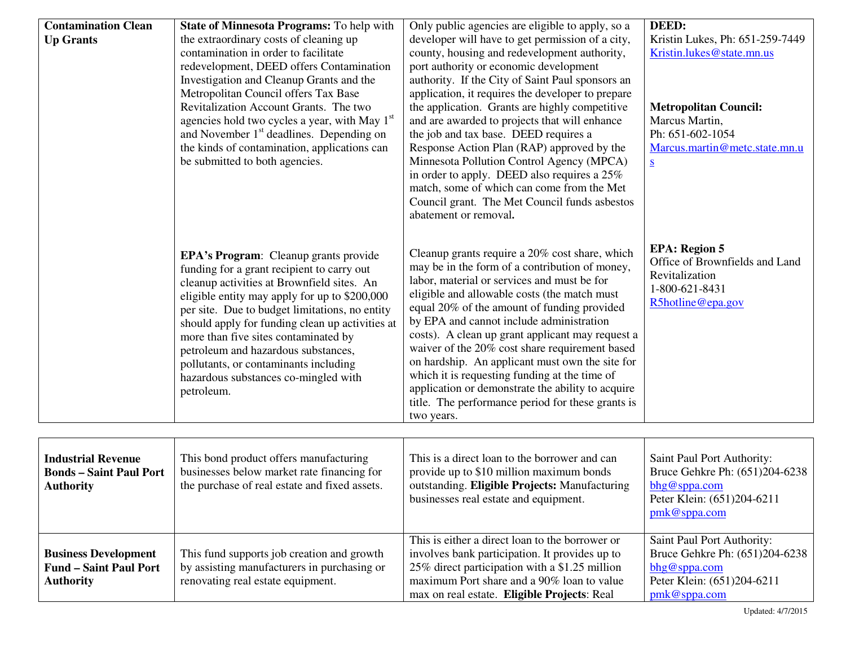| <b>Contamination Clean</b><br><b>Up Grants</b>              | <b>State of Minnesota Programs:</b> To help with<br>the extraordinary costs of cleaning up<br>contamination in order to facilitate<br>redevelopment, DEED offers Contamination<br>Investigation and Cleanup Grants and the<br>Metropolitan Council offers Tax Base<br>Revitalization Account Grants. The two<br>agencies hold two cycles a year, with May 1 <sup>st</sup><br>and November 1 <sup>st</sup> deadlines. Depending on<br>the kinds of contamination, applications can<br>be submitted to both agencies. | Only public agencies are eligible to apply, so a<br>developer will have to get permission of a city,<br>county, housing and redevelopment authority,<br>port authority or economic development<br>authority. If the City of Saint Paul sponsors an<br>application, it requires the developer to prepare<br>the application. Grants are highly competitive<br>and are awarded to projects that will enhance<br>the job and tax base. DEED requires a<br>Response Action Plan (RAP) approved by the<br>Minnesota Pollution Control Agency (MPCA)<br>in order to apply. DEED also requires a 25%                                                                                                                                                        | DEED:<br>Kristin Lukes, Ph: 651-259-7449<br>Kristin.lukes@state.mn.us<br><b>Metropolitan Council:</b><br>Marcus Martin,<br>Ph: 651-602-1054<br>Marcus.martin@metc.state.mn.u<br>$S_{\parallel}$ |
|-------------------------------------------------------------|---------------------------------------------------------------------------------------------------------------------------------------------------------------------------------------------------------------------------------------------------------------------------------------------------------------------------------------------------------------------------------------------------------------------------------------------------------------------------------------------------------------------|------------------------------------------------------------------------------------------------------------------------------------------------------------------------------------------------------------------------------------------------------------------------------------------------------------------------------------------------------------------------------------------------------------------------------------------------------------------------------------------------------------------------------------------------------------------------------------------------------------------------------------------------------------------------------------------------------------------------------------------------------|-------------------------------------------------------------------------------------------------------------------------------------------------------------------------------------------------|
|                                                             | <b>EPA's Program:</b> Cleanup grants provide<br>funding for a grant recipient to carry out<br>cleanup activities at Brownfield sites. An<br>eligible entity may apply for up to \$200,000<br>per site. Due to budget limitations, no entity<br>should apply for funding clean up activities at<br>more than five sites contaminated by<br>petroleum and hazardous substances,<br>pollutants, or contaminants including<br>hazardous substances co-mingled with<br>petroleum.                                        | match, some of which can come from the Met<br>Council grant. The Met Council funds asbestos<br>abatement or removal.<br>Cleanup grants require a 20% cost share, which<br>may be in the form of a contribution of money,<br>labor, material or services and must be for<br>eligible and allowable costs (the match must<br>equal 20% of the amount of funding provided<br>by EPA and cannot include administration<br>costs). A clean up grant applicant may request a<br>waiver of the 20% cost share requirement based<br>on hardship. An applicant must own the site for<br>which it is requesting funding at the time of<br>application or demonstrate the ability to acquire<br>title. The performance period for these grants is<br>two years. | <b>EPA</b> : Region 5<br>Office of Brownfields and Land<br>Revitalization<br>1-800-621-8431<br>R5hotline@epa.gov                                                                                |
| <b>Industrial Revenue</b><br><b>Bonds - Saint Paul Port</b> | This bond product offers manufacturing<br>businesses below market rate financing for                                                                                                                                                                                                                                                                                                                                                                                                                                | This is a direct loan to the borrower and can<br>provide up to \$10 million maximum bonds                                                                                                                                                                                                                                                                                                                                                                                                                                                                                                                                                                                                                                                            | Saint Paul Port Authority:<br>Bruce Gehkre Ph: (651)204-6238                                                                                                                                    |

| <b>Bonds – Saint Paul Port</b><br><b>Authority</b>                               | businesses below market rate financing for<br>the purchase of real estate and fixed assets.                                    | provide up to \$10 million maximum bonds<br>outstanding. Eligible Projects: Manufacturing<br>businesses real estate and equipment.                                                                                                               | Bruce Gehkre Ph: (651)204-6238<br>bhg@sppa.com<br>Peter Klein: (651)204-6211<br>$pmk@$ sppa.com                            |
|----------------------------------------------------------------------------------|--------------------------------------------------------------------------------------------------------------------------------|--------------------------------------------------------------------------------------------------------------------------------------------------------------------------------------------------------------------------------------------------|----------------------------------------------------------------------------------------------------------------------------|
| <b>Business Development</b><br><b>Fund – Saint Paul Port</b><br><b>Authority</b> | This fund supports job creation and growth<br>by assisting manufacturers in purchasing or<br>renovating real estate equipment. | This is either a direct loan to the borrower or<br>involves bank participation. It provides up to<br>25% direct participation with a \$1.25 million<br>maximum Port share and a 90% loan to value<br>max on real estate. Eligible Projects: Real | Saint Paul Port Authority:<br>Bruce Gehkre Ph: (651)204-6238<br>bhg@sppa.com<br>Peter Klein: (651)204-6211<br>pmk@sppa.com |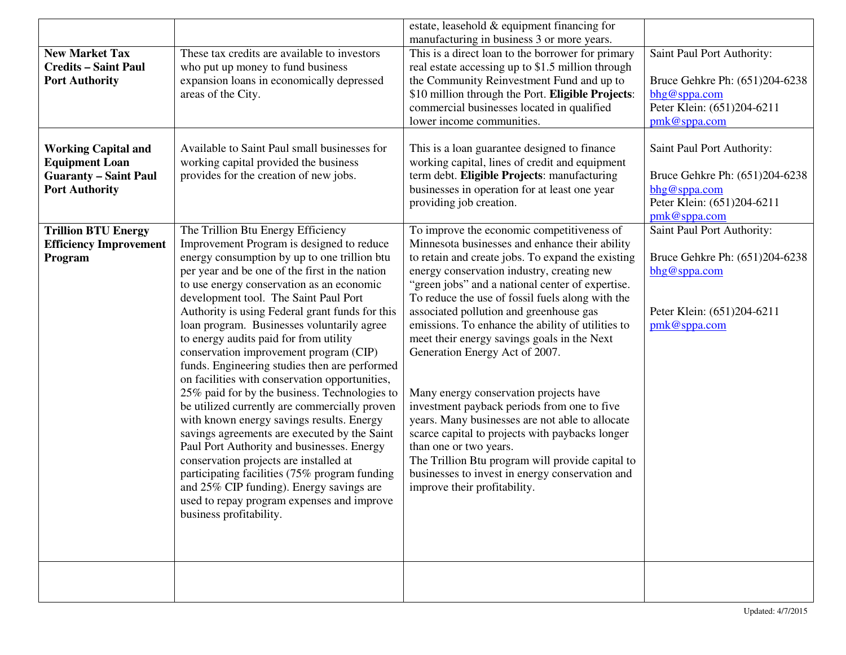|                                                                                                              |                                                                                                                                                                                                                                                                                                                                                                                                                                                                                                                                                                                                                                                                                                                                                                                                                                                                                                                                                                                                                              | estate, leasehold & equipment financing for<br>manufacturing in business 3 or more years.                                                                                                                                                                                                                                                                                                                                                                                                                                                                                                                                                                                                                                                                                                                                                                |                                                                                                                               |
|--------------------------------------------------------------------------------------------------------------|------------------------------------------------------------------------------------------------------------------------------------------------------------------------------------------------------------------------------------------------------------------------------------------------------------------------------------------------------------------------------------------------------------------------------------------------------------------------------------------------------------------------------------------------------------------------------------------------------------------------------------------------------------------------------------------------------------------------------------------------------------------------------------------------------------------------------------------------------------------------------------------------------------------------------------------------------------------------------------------------------------------------------|----------------------------------------------------------------------------------------------------------------------------------------------------------------------------------------------------------------------------------------------------------------------------------------------------------------------------------------------------------------------------------------------------------------------------------------------------------------------------------------------------------------------------------------------------------------------------------------------------------------------------------------------------------------------------------------------------------------------------------------------------------------------------------------------------------------------------------------------------------|-------------------------------------------------------------------------------------------------------------------------------|
| <b>New Market Tax</b><br><b>Credits - Saint Paul</b><br><b>Port Authority</b>                                | These tax credits are available to investors<br>who put up money to fund business<br>expansion loans in economically depressed<br>areas of the City.                                                                                                                                                                                                                                                                                                                                                                                                                                                                                                                                                                                                                                                                                                                                                                                                                                                                         | This is a direct loan to the borrower for primary<br>real estate accessing up to \$1.5 million through<br>the Community Reinvestment Fund and up to<br>\$10 million through the Port. Eligible Projects:<br>commercial businesses located in qualified<br>lower income communities.                                                                                                                                                                                                                                                                                                                                                                                                                                                                                                                                                                      | Saint Paul Port Authority:<br>Bruce Gehkre Ph: (651)204-6238<br>bhg@sppa.com<br>Peter Klein: (651)204-6211<br>$pmk@$ sppa.com |
| <b>Working Capital and</b><br><b>Equipment Loan</b><br><b>Guaranty - Saint Paul</b><br><b>Port Authority</b> | Available to Saint Paul small businesses for<br>working capital provided the business<br>provides for the creation of new jobs.                                                                                                                                                                                                                                                                                                                                                                                                                                                                                                                                                                                                                                                                                                                                                                                                                                                                                              | This is a loan guarantee designed to finance<br>working capital, lines of credit and equipment<br>term debt. Eligible Projects: manufacturing<br>businesses in operation for at least one year<br>providing job creation.                                                                                                                                                                                                                                                                                                                                                                                                                                                                                                                                                                                                                                | Saint Paul Port Authority:<br>Bruce Gehkre Ph: (651)204-6238<br>bhg@sppa.com<br>Peter Klein: (651)204-6211<br>pmk@sppa.com    |
| <b>Trillion BTU Energy</b><br><b>Efficiency Improvement</b><br>Program                                       | The Trillion Btu Energy Efficiency<br>Improvement Program is designed to reduce<br>energy consumption by up to one trillion btu<br>per year and be one of the first in the nation<br>to use energy conservation as an economic<br>development tool. The Saint Paul Port<br>Authority is using Federal grant funds for this<br>loan program. Businesses voluntarily agree<br>to energy audits paid for from utility<br>conservation improvement program (CIP)<br>funds. Engineering studies then are performed<br>on facilities with conservation opportunities,<br>25% paid for by the business. Technologies to<br>be utilized currently are commercially proven<br>with known energy savings results. Energy<br>savings agreements are executed by the Saint<br>Paul Port Authority and businesses. Energy<br>conservation projects are installed at<br>participating facilities (75% program funding<br>and 25% CIP funding). Energy savings are<br>used to repay program expenses and improve<br>business profitability. | To improve the economic competitiveness of<br>Minnesota businesses and enhance their ability<br>to retain and create jobs. To expand the existing<br>energy conservation industry, creating new<br>"green jobs" and a national center of expertise.<br>To reduce the use of fossil fuels along with the<br>associated pollution and greenhouse gas<br>emissions. To enhance the ability of utilities to<br>meet their energy savings goals in the Next<br>Generation Energy Act of 2007.<br>Many energy conservation projects have<br>investment payback periods from one to five<br>years. Many businesses are not able to allocate<br>scarce capital to projects with paybacks longer<br>than one or two years.<br>The Trillion Btu program will provide capital to<br>businesses to invest in energy conservation and<br>improve their profitability. | Saint Paul Port Authority:<br>Bruce Gehkre Ph: (651)204-6238<br>bhg@sppa.com<br>Peter Klein: (651)204-6211<br>pmk@sppa.com    |
|                                                                                                              |                                                                                                                                                                                                                                                                                                                                                                                                                                                                                                                                                                                                                                                                                                                                                                                                                                                                                                                                                                                                                              |                                                                                                                                                                                                                                                                                                                                                                                                                                                                                                                                                                                                                                                                                                                                                                                                                                                          |                                                                                                                               |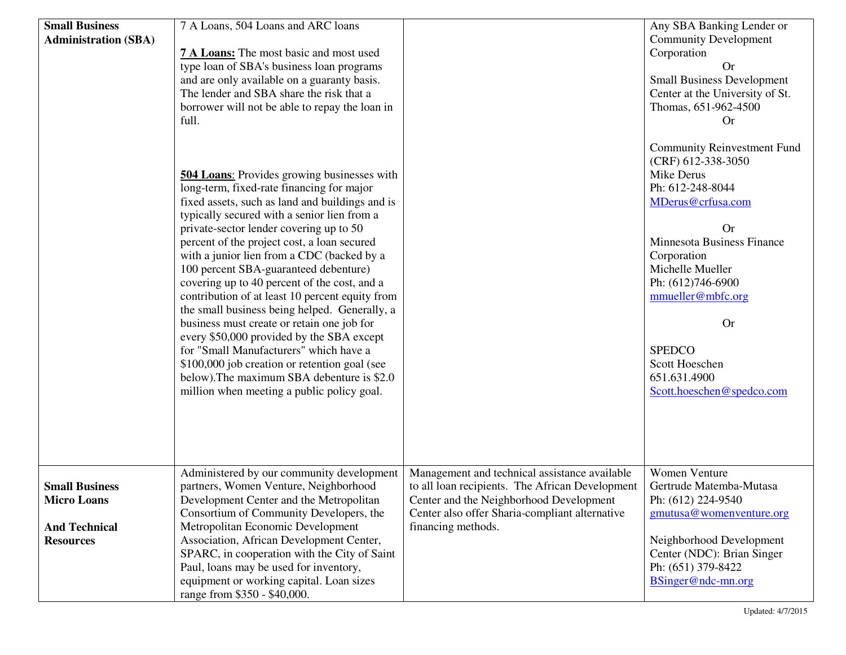| <b>Small Business</b><br><b>Administration (SBA)</b>                                    | 7 A Loans, 504 Loans and ARC loans<br>7 A Loans: The most basic and most used<br>type loan of SBA's business loan programs<br>and are only available on a guaranty basis.<br>The lender and SBA share the risk that a<br>borrower will not be able to repay the loan in<br>full.<br><b>504 Loans:</b> Provides growing businesses with<br>long-term, fixed-rate financing for major<br>fixed assets, such as land and buildings and is<br>typically secured with a senior lien from a<br>private-sector lender covering up to 50<br>percent of the project cost, a loan secured<br>with a junior lien from a CDC (backed by a<br>100 percent SBA-guaranteed debenture)<br>covering up to 40 percent of the cost, and a<br>contribution of at least 10 percent equity from<br>the small business being helped. Generally, a<br>business must create or retain one job for<br>every \$50,000 provided by the SBA except<br>for "Small Manufacturers" which have a<br>\$100,000 job creation or retention goal (see<br>below). The maximum SBA debenture is \$2.0<br>million when meeting a public policy goal. |                                                                                                                                                                                                                     | Any SBA Banking Lender or<br><b>Community Development</b><br>Corporation<br><b>Or</b><br><b>Small Business Development</b><br>Center at the University of St.<br>Thomas, 651-962-4500<br><b>Or</b><br><b>Community Reinvestment Fund</b><br>(CRF) 612-338-3050<br>Mike Derus<br>Ph: 612-248-8044<br>MDerus@crfusa.com<br><b>Or</b><br>Minnesota Business Finance<br>Corporation<br>Michelle Mueller<br>Ph: (612)746-6900<br>mmueller@mbfc.org<br><b>Or</b><br><b>SPEDCO</b><br>Scott Hoeschen<br>651.631.4900<br>Scott.hoeschen@spedco.com |
|-----------------------------------------------------------------------------------------|--------------------------------------------------------------------------------------------------------------------------------------------------------------------------------------------------------------------------------------------------------------------------------------------------------------------------------------------------------------------------------------------------------------------------------------------------------------------------------------------------------------------------------------------------------------------------------------------------------------------------------------------------------------------------------------------------------------------------------------------------------------------------------------------------------------------------------------------------------------------------------------------------------------------------------------------------------------------------------------------------------------------------------------------------------------------------------------------------------------|---------------------------------------------------------------------------------------------------------------------------------------------------------------------------------------------------------------------|--------------------------------------------------------------------------------------------------------------------------------------------------------------------------------------------------------------------------------------------------------------------------------------------------------------------------------------------------------------------------------------------------------------------------------------------------------------------------------------------------------------------------------------------|
| <b>Small Business</b><br><b>Micro Loans</b><br><b>And Technical</b><br><b>Resources</b> | Administered by our community development<br>partners, Women Venture, Neighborhood<br>Development Center and the Metropolitan<br>Consortium of Community Developers, the<br>Metropolitan Economic Development<br>Association, African Development Center,<br>SPARC, in cooperation with the City of Saint<br>Paul, loans may be used for inventory,<br>equipment or working capital. Loan sizes<br>range from \$350 - \$40,000.                                                                                                                                                                                                                                                                                                                                                                                                                                                                                                                                                                                                                                                                              | Management and technical assistance available<br>to all loan recipients. The African Development<br>Center and the Neighborhood Development<br>Center also offer Sharia-compliant alternative<br>financing methods. | Women Venture<br>Gertrude Matemba-Mutasa<br>Ph: (612) 224-9540<br>gmutusa@womenventure.org<br>Neighborhood Development<br>Center (NDC): Brian Singer<br>Ph: (651) 379-8422<br>BSinger@ndc-mn.org                                                                                                                                                                                                                                                                                                                                           |